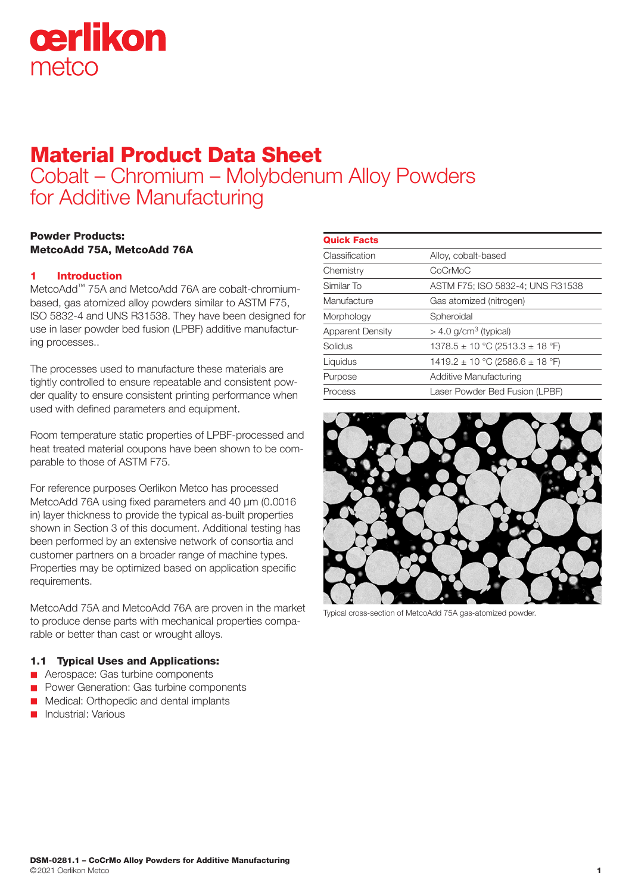

# Material Product Data Sheet

Cobalt – Chromium – Molybdenum Alloy Powders for Additive Manufacturing

# Powder Products: MetcoAdd 75A, MetcoAdd 76A

# 1 Introduction

MetcoAdd™ 75A and MetcoAdd 76A are cobalt-chromiumbased, gas atomized alloy powders similar to ASTM F75, ISO 5832-4 and UNS R31538. They have been designed for use in laser powder bed fusion (LPBF) additive manufacturing processes..

The processes used to manufacture these materials are tightly controlled to ensure repeatable and consistent powder quality to ensure consistent printing performance when used with defined parameters and equipment.

Room temperature static properties of LPBF-processed and heat treated material coupons have been shown to be comparable to those of ASTM F75.

For reference purposes Oerlikon Metco has processed MetcoAdd 76A using fixed parameters and 40 μm (0.0016 in) layer thickness to provide the typical as-built properties shown in Section 3 of this document. Additional testing has been performed by an extensive network of consortia and customer partners on a broader range of machine types. Properties may be optimized based on application specific requirements.

MetcoAdd 75A and MetcoAdd 76A are proven in the market to produce dense parts with mechanical properties comparable or better than cast or wrought alloys.

# 1.1 Typical Uses and Applications:

- Aerospace: Gas turbine components
- Power Generation: Gas turbine components
- **n** Medical: Orthopedic and dental implants
- Industrial: Various

| <b>Quick Facts</b>      |                                         |
|-------------------------|-----------------------------------------|
| Classification          | Alloy, cobalt-based                     |
| Chemistry               | CoCrMoC                                 |
| Similar To              | ASTM F75; ISO 5832-4; UNS R31538        |
| Manufacture             | Gas atomized (nitrogen)                 |
| Morphology              | Spheroidal                              |
| <b>Apparent Density</b> | $>$ 4.0 g/cm <sup>3</sup> (typical)     |
| Solidus                 | $1378.5 \pm 10$ °C (2513.3 $\pm$ 18 °F) |
| Liquidus                | 1419.2 ± 10 °C (2586.6 ± 18 °F)         |
| Purpose                 | <b>Additive Manufacturing</b>           |
| Process                 | Laser Powder Bed Fusion (LPBF)          |



Typical cross-section of MetcoAdd 75A gas-atomized powder.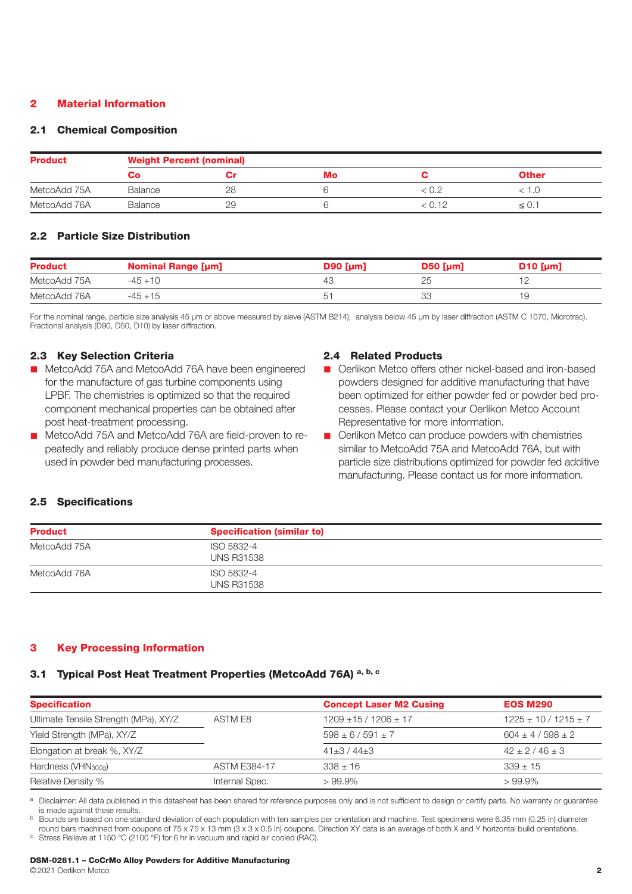## 2 Material Information

#### 2.1 Chemical Composition

| <b>Product</b> |         | <b>Weight Percent (nominal)</b> |    |        |              |  |  |
|----------------|---------|---------------------------------|----|--------|--------------|--|--|
|                | CO.     |                                 | Mo |        | <b>Other</b> |  |  |
| MetcoAdd 75A   | Balance | 28                              |    |        |              |  |  |
| MetcoAdd 76A   | Balance | 29                              |    | < 0.12 | ≤ ∪.         |  |  |

#### 2.2 Particle Size Distribution

| <b>Product</b> | <b>Nominal Range [µm]</b> | $D90$ [µm] | $D50$ [µm] | $D10$ [µm] |
|----------------|---------------------------|------------|------------|------------|
| MetcoAdd 75A   | $-45+10$                  |            | 25         |            |
| MetcoAdd 76A   | -45 +15                   |            | 33         |            |

For the nominal range, particle size analysis 45 µm or above measured by sieve (ASTM B214), analysis below 45 µm by laser diffraction (ASTM C 1070, Microtrac). Fractional analysis (D90, D50, D10) by laser diffraction.

## 2.3 Key Selection Criteria

- MetcoAdd 75A and MetcoAdd 76A have been engineered for the manufacture of gas turbine components using LPBF. The chemistries is optimized so that the required component mechanical properties can be obtained after post heat-treatment processing.
- MetcoAdd 75A and MetcoAdd 76A are field-proven to repeatedly and reliably produce dense printed parts when used in powder bed manufacturing processes.

#### 2.4 Related Products

- Oerlikon Metco offers other nickel-based and iron-based powders designed for additive manufacturing that have been optimized for either powder fed or powder bed processes. Please contact your Oerlikon Metco Account Representative for more information.
- **n** Oerlikon Metco can produce powders with chemistries similar to MetcoAdd 75A and MetcoAdd 76A, but with particle size distributions optimized for powder fed additive manufacturing. Please contact us for more information.

#### 2.5 Specifications

| <b>Product</b> | <b>Specification (similar to)</b> |  |
|----------------|-----------------------------------|--|
| MetcoAdd 75A   | ISO 5832-4<br><b>UNS R31538</b>   |  |
| MetcoAdd 76A   | ISO 5832-4<br><b>UNS R31538</b>   |  |

## 3 Key Processing Information

## 3.1 Typical Post Heat Treatment Properties (MetcoAdd 76A) a, b, c

| <b>Specification</b>                  |                     | <b>Concept Laser M2 Cusing</b> | <b>EOS M290</b>            |
|---------------------------------------|---------------------|--------------------------------|----------------------------|
| Ultimate Tensile Strength (MPa), XY/Z | ASTM F8             | $1209 \pm 15 / 1206 \pm 17$    | $1225 \pm 10 / 1215 \pm 7$ |
| Yield Strength (MPa), XY/Z            |                     | $598 \pm 6 / 591 \pm 7$        | $604 \pm 4 / 598 \pm 2$    |
| Elongation at break %, XY/Z           |                     | $41\pm3/44\pm3$                | $42 + 2 / 46 + 3$          |
| Hardness (VHN <sub>300a</sub> )       | <b>ASTM E384-17</b> | $338 \pm 16$                   | $339 \pm 15$               |
| Relative Density %                    | Internal Spec.      | $>99.9\%$                      | $>99.9\%$                  |

a Disclaimer: All data published in this datasheet has been shared for reference purposes only and is not sufficient to design or certify parts. No warranty or guarantee is made against these results.

b Bounds are based on one standard deviation of each population with ten samples per orientation and machine. Test specimens were 6.35 mm (0.25 in) diameter round bars machined from coupons of 75 x 75 x 13 mm (3 x 3 x 0.5 in) coupons. Direction XY data is an average of both X and Y horizontal build orientations.<br>C Stress Relieve at 1150 °C (2100 °F) for 6 hr in vacuum and rapi